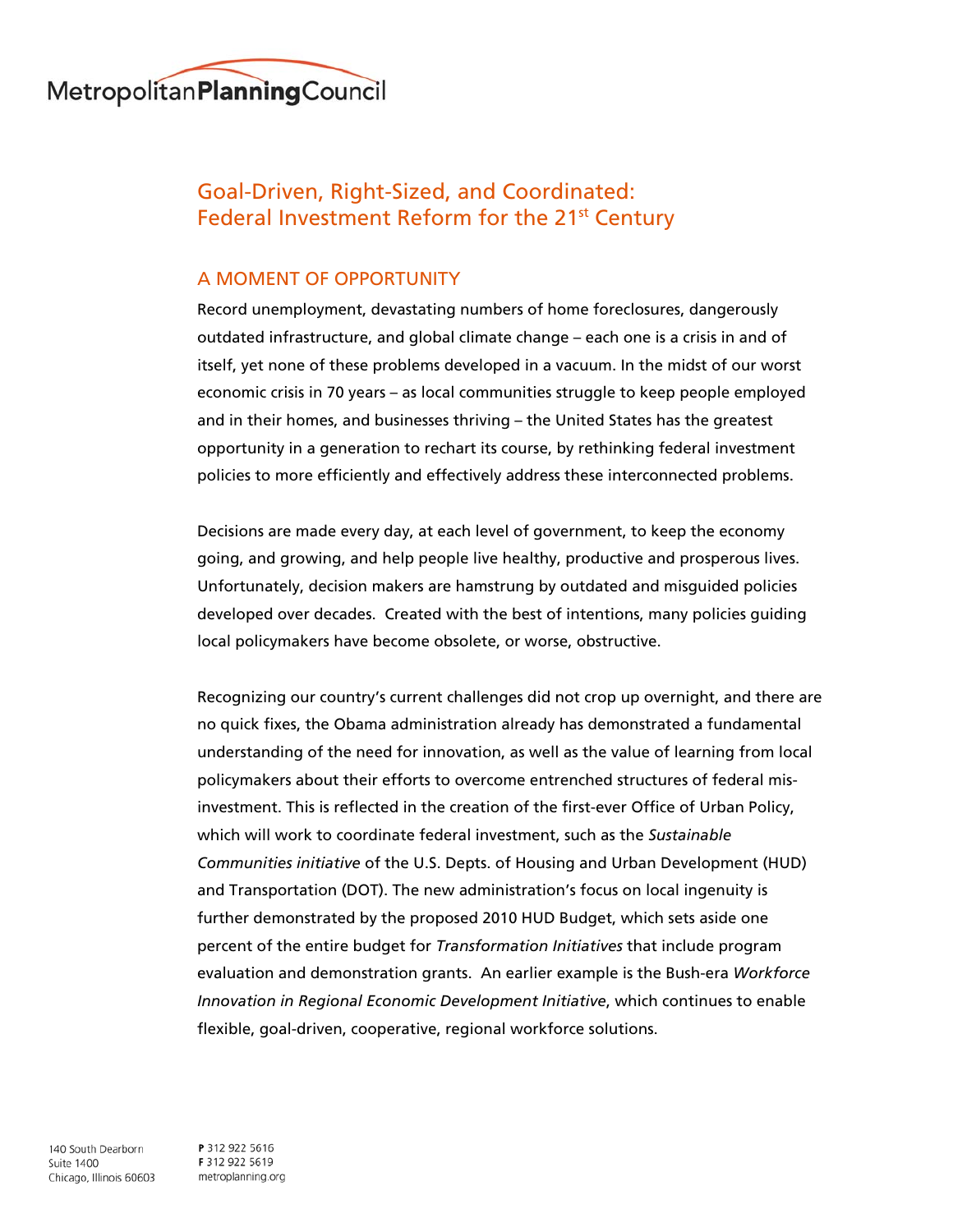

# Goal-Driven, Right-Sized, and Coordinated: Federal Investment Reform for the 21<sup>st</sup> Century

# A MOMENT OF OPPORTUNITY

Record unemployment, devastating numbers of home foreclosures, dangerously outdated infrastructure, and global climate change – each one is a crisis in and of itself, yet none of these problems developed in a vacuum. In the midst of our worst economic crisis in 70 years – as local communities struggle to keep people employed and in their homes, and businesses thriving – the United States has the greatest opportunity in a generation to rechart its course, by rethinking federal investment policies to more efficiently and effectively address these interconnected problems.

Decisions are made every day, at each level of government, to keep the economy going, and growing, and help people live healthy, productive and prosperous lives. Unfortunately, decision makers are hamstrung by outdated and misguided policies developed over decades. Created with the best of intentions, many policies guiding local policymakers have become obsolete, or worse, obstructive.

Recognizing our country's current challenges did not crop up overnight, and there are no quick fixes, the Obama administration already has demonstrated a fundamental understanding of the need for innovation, as well as the value of learning from local policymakers about their efforts to overcome entrenched structures of federal misinvestment. This is reflected in the creation of the first-ever Office of Urban Policy, which will work to coordinate federal investment, such as the *Sustainable Communities initiative* of the U.S. Depts. of Housing and Urban Development (HUD) and Transportation (DOT). The new administration's focus on local ingenuity is further demonstrated by the proposed 2010 HUD Budget, which sets aside one percent of the entire budget for *Transformation Initiatives* that include program evaluation and demonstration grants. An earlier example is the Bush-era *Workforce Innovation in Regional Economic Development Initiative*, which continues to enable flexible, goal-driven, cooperative, regional workforce solutions.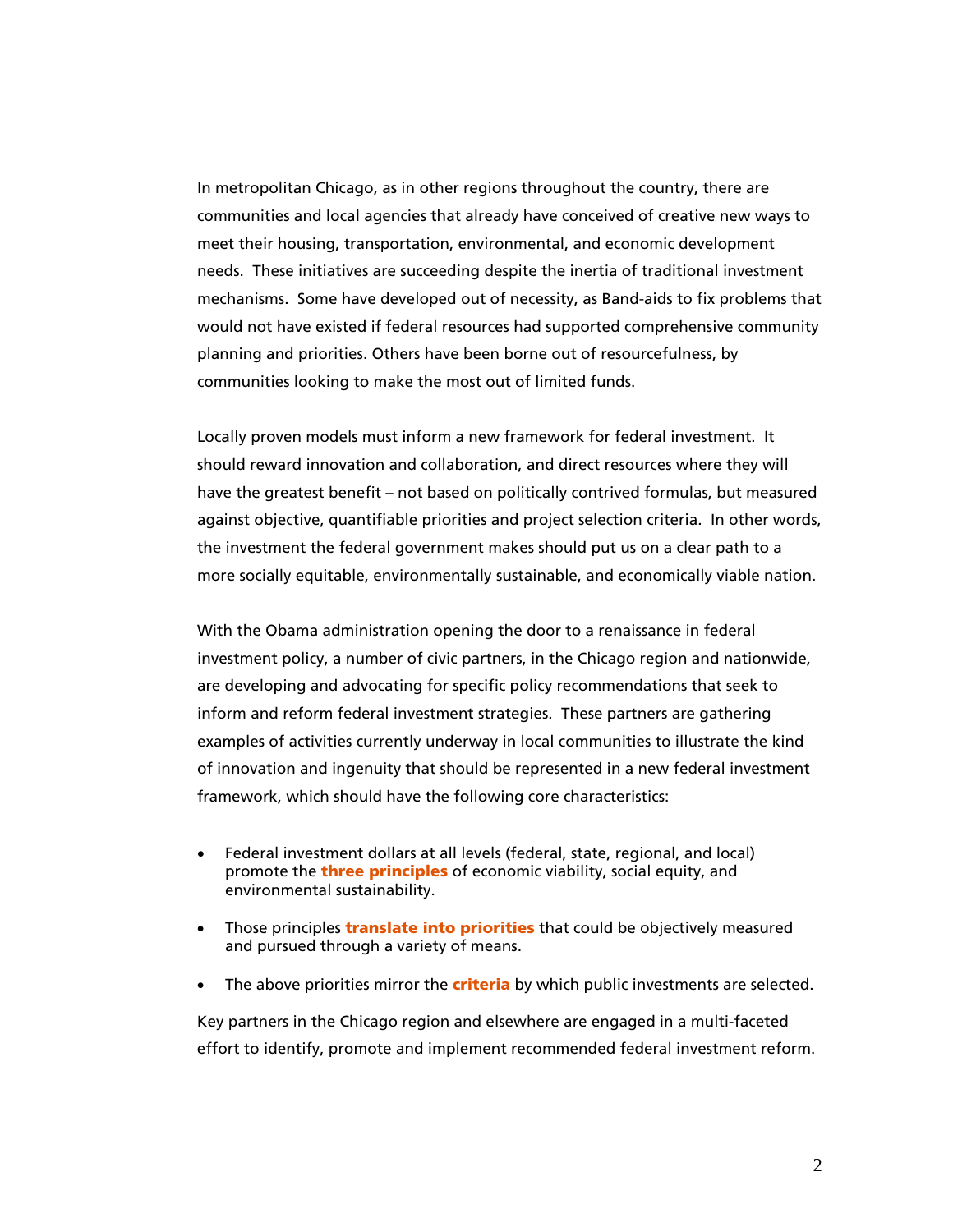In metropolitan Chicago, as in other regions throughout the country, there are communities and local agencies that already have conceived of creative new ways to meet their housing, transportation, environmental, and economic development needs. These initiatives are succeeding despite the inertia of traditional investment mechanisms. Some have developed out of necessity, as Band-aids to fix problems that would not have existed if federal resources had supported comprehensive community planning and priorities. Others have been borne out of resourcefulness, by communities looking to make the most out of limited funds.

Locally proven models must inform a new framework for federal investment. It should reward innovation and collaboration, and direct resources where they will have the greatest benefit – not based on politically contrived formulas, but measured against objective, quantifiable priorities and project selection criteria. In other words, the investment the federal government makes should put us on a clear path to a more socially equitable, environmentally sustainable, and economically viable nation.

With the Obama administration opening the door to a renaissance in federal investment policy, a number of civic partners, in the Chicago region and nationwide, are developing and advocating for specific policy recommendations that seek to inform and reform federal investment strategies. These partners are gathering examples of activities currently underway in local communities to illustrate the kind of innovation and ingenuity that should be represented in a new federal investment framework, which should have the following core characteristics:

- Federal investment dollars at all levels (federal, state, regional, and local) promote the **three principles** of economic viability, social equity, and environmental sustainability.
- Those principles **translate into priorities** that could be objectively measured and pursued through a variety of means.
- The above priorities mirror the **criteria** by which public investments are selected.

Key partners in the Chicago region and elsewhere are engaged in a multi-faceted effort to identify, promote and implement recommended federal investment reform.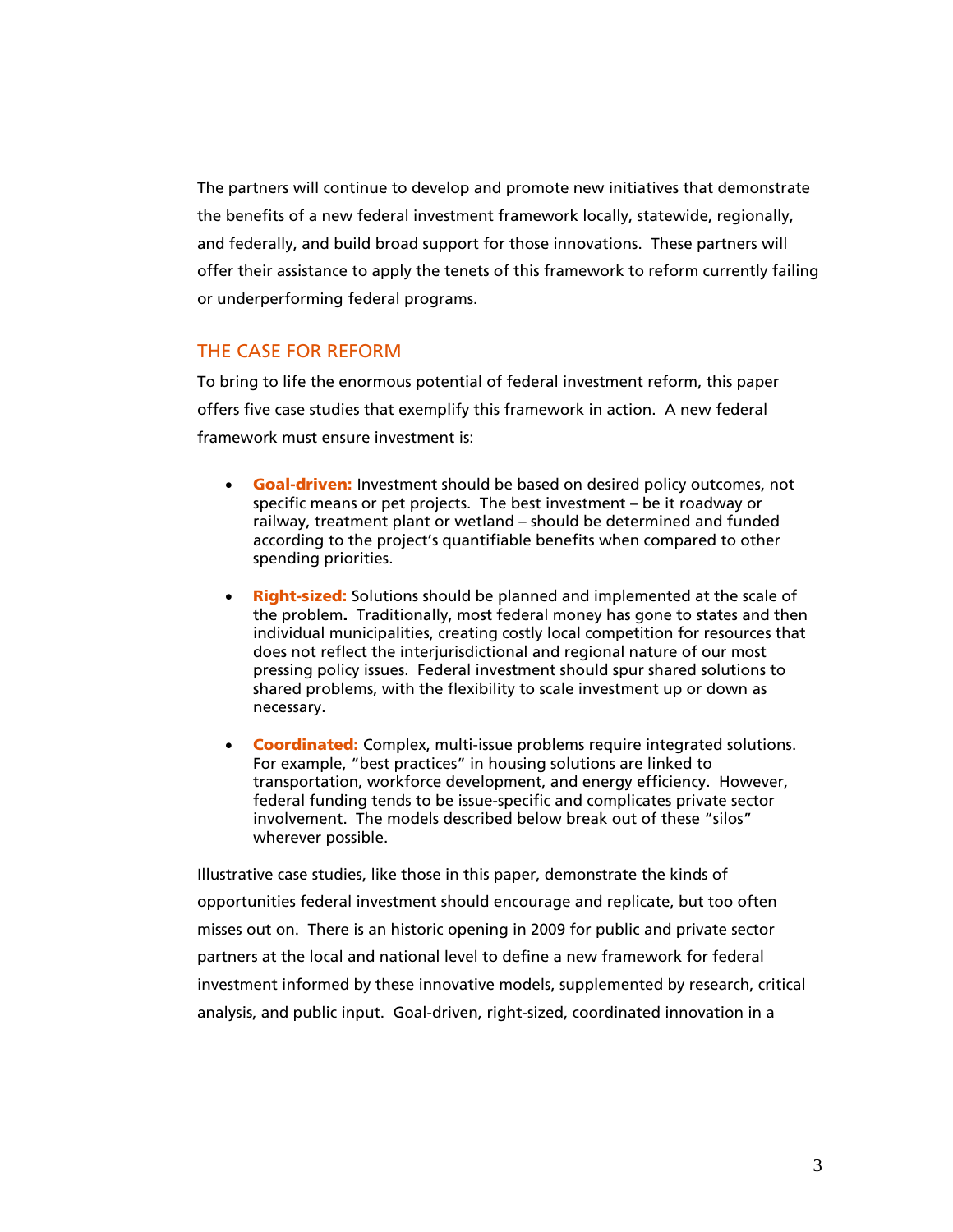The partners will continue to develop and promote new initiatives that demonstrate the benefits of a new federal investment framework locally, statewide, regionally, and federally, and build broad support for those innovations. These partners will offer their assistance to apply the tenets of this framework to reform currently failing or underperforming federal programs.

## THE CASE FOR REFORM

To bring to life the enormous potential of federal investment reform, this paper offers five case studies that exemplify this framework in action. A new federal framework must ensure investment is:

- **Goal-driven:** Investment should be based on desired policy outcomes, not specific means or pet projects. The best investment – be it roadway or railway, treatment plant or wetland – should be determined and funded according to the project's quantifiable benefits when compared to other spending priorities.
- Right-sized: Solutions should be planned and implemented at the scale of the problem. Traditionally, most federal money has gone to states and then individual municipalities, creating costly local competition for resources that does not reflect the interjurisdictional and regional nature of our most pressing policy issues. Federal investment should spur shared solutions to shared problems, with the flexibility to scale investment up or down as necessary.
- Coordinated: Complex, multi-issue problems require integrated solutions. For example, "best practices" in housing solutions are linked to transportation, workforce development, and energy efficiency. However, federal funding tends to be issue-specific and complicates private sector involvement. The models described below break out of these "silos" wherever possible.

Illustrative case studies, like those in this paper, demonstrate the kinds of opportunities federal investment should encourage and replicate, but too often misses out on. There is an historic opening in 2009 for public and private sector partners at the local and national level to define a new framework for federal investment informed by these innovative models, supplemented by research, critical analysis, and public input. Goal-driven, right-sized, coordinated innovation in a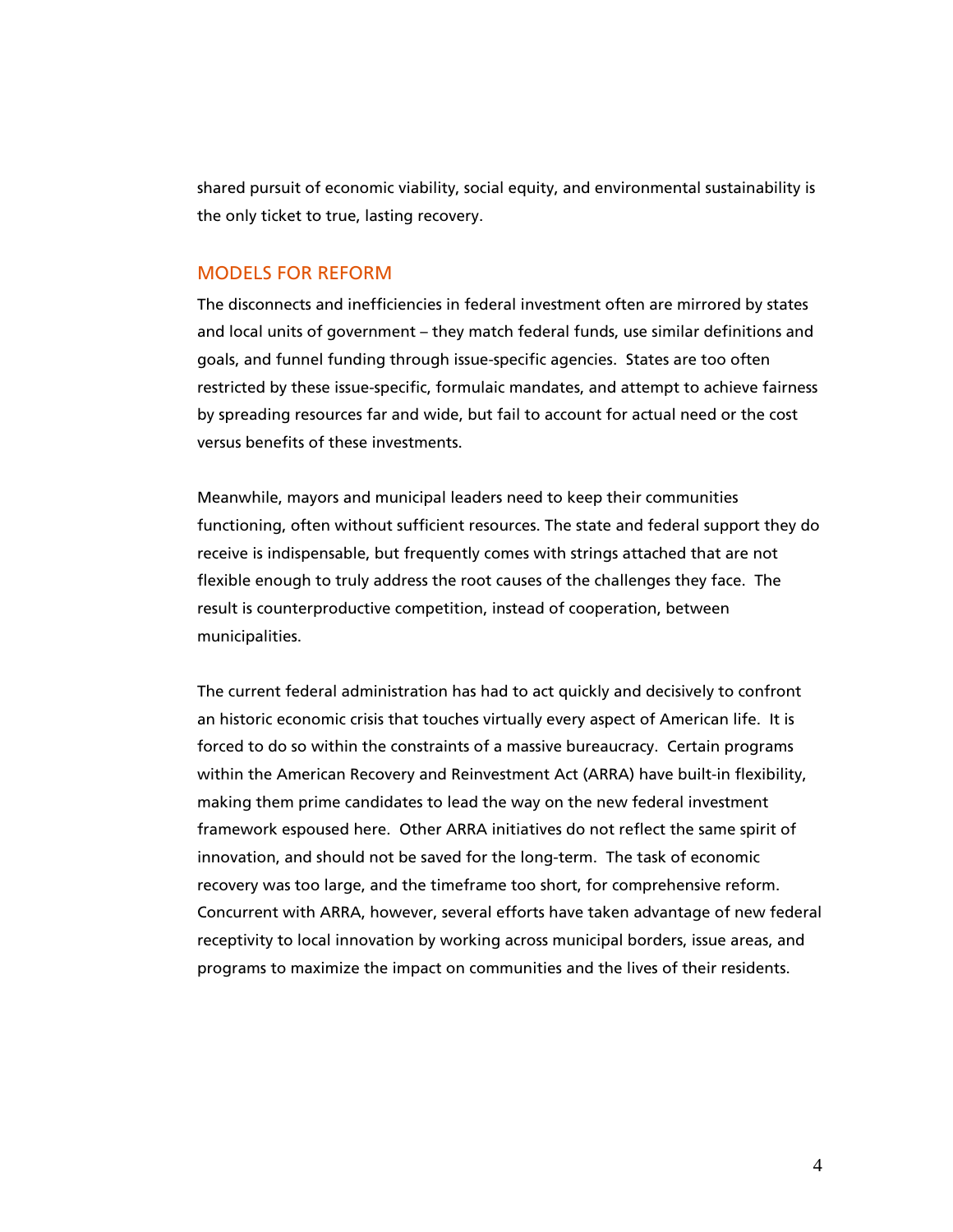shared pursuit of economic viability, social equity, and environmental sustainability is the only ticket to true, lasting recovery.

### MODELS FOR REFORM

The disconnects and inefficiencies in federal investment often are mirrored by states and local units of government – they match federal funds, use similar definitions and goals, and funnel funding through issue-specific agencies. States are too often restricted by these issue-specific, formulaic mandates, and attempt to achieve fairness by spreading resources far and wide, but fail to account for actual need or the cost versus benefits of these investments.

Meanwhile, mayors and municipal leaders need to keep their communities functioning, often without sufficient resources. The state and federal support they do receive is indispensable, but frequently comes with strings attached that are not flexible enough to truly address the root causes of the challenges they face. The result is counterproductive competition, instead of cooperation, between municipalities.

The current federal administration has had to act quickly and decisively to confront an historic economic crisis that touches virtually every aspect of American life. It is forced to do so within the constraints of a massive bureaucracy. Certain programs within the American Recovery and Reinvestment Act (ARRA) have built-in flexibility, making them prime candidates to lead the way on the new federal investment framework espoused here. Other ARRA initiatives do not reflect the same spirit of innovation, and should not be saved for the long-term. The task of economic recovery was too large, and the timeframe too short, for comprehensive reform. Concurrent with ARRA, however, several efforts have taken advantage of new federal receptivity to local innovation by working across municipal borders, issue areas, and programs to maximize the impact on communities and the lives of their residents.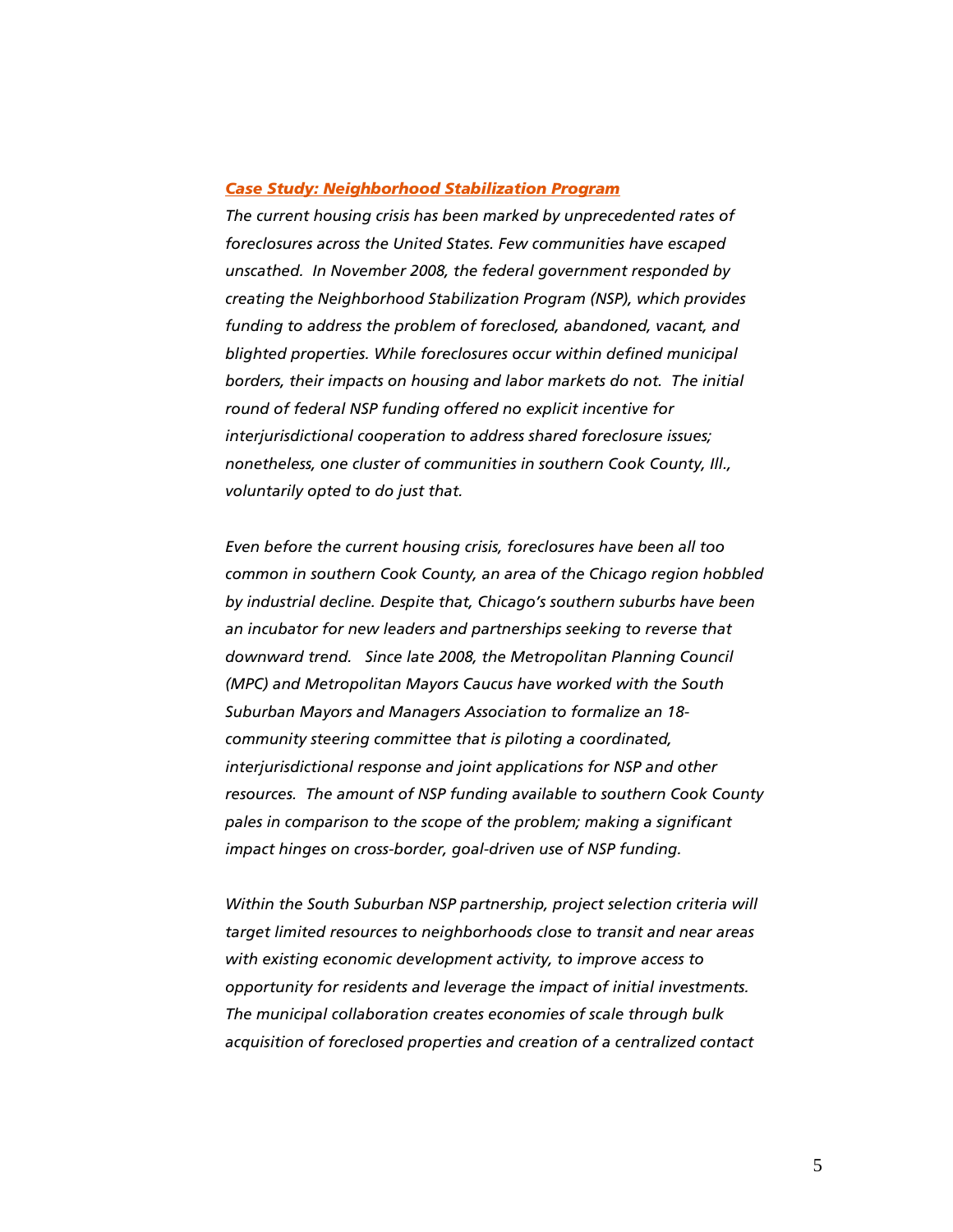#### *Case Study: Neighborhood Stabilization Program*

*The current housing crisis has been marked by unprecedented rates of foreclosures across the United States. Few communities have escaped unscathed. In November 2008, the federal government responded by creating the Neighborhood Stabilization Program (NSP), which provides funding to address the problem of foreclosed, abandoned, vacant, and blighted properties. While foreclosures occur within defined municipal borders, their impacts on housing and labor markets do not. The initial round of federal NSP funding offered no explicit incentive for interjurisdictional cooperation to address shared foreclosure issues; nonetheless, one cluster of communities in southern Cook County, Ill., voluntarily opted to do just that.* 

*Even before the current housing crisis, foreclosures have been all too common in southern Cook County, an area of the Chicago region hobbled by industrial decline. Despite that, Chicago's southern suburbs have been an incubator for new leaders and partnerships seeking to reverse that downward trend. Since late 2008, the Metropolitan Planning Council (MPC) and Metropolitan Mayors Caucus have worked with the South Suburban Mayors and Managers Association to formalize an 18 community steering committee that is piloting a coordinated, interjurisdictional response and joint applications for NSP and other resources. The amount of NSP funding available to southern Cook County pales in comparison to the scope of the problem; making a significant impact hinges on cross-border, goal-driven use of NSP funding.* 

*Within the South Suburban NSP partnership, project selection criteria will target limited resources to neighborhoods close to transit and near areas with existing economic development activity, to improve access to opportunity for residents and leverage the impact of initial investments. The municipal collaboration creates economies of scale through bulk acquisition of foreclosed properties and creation of a centralized contact*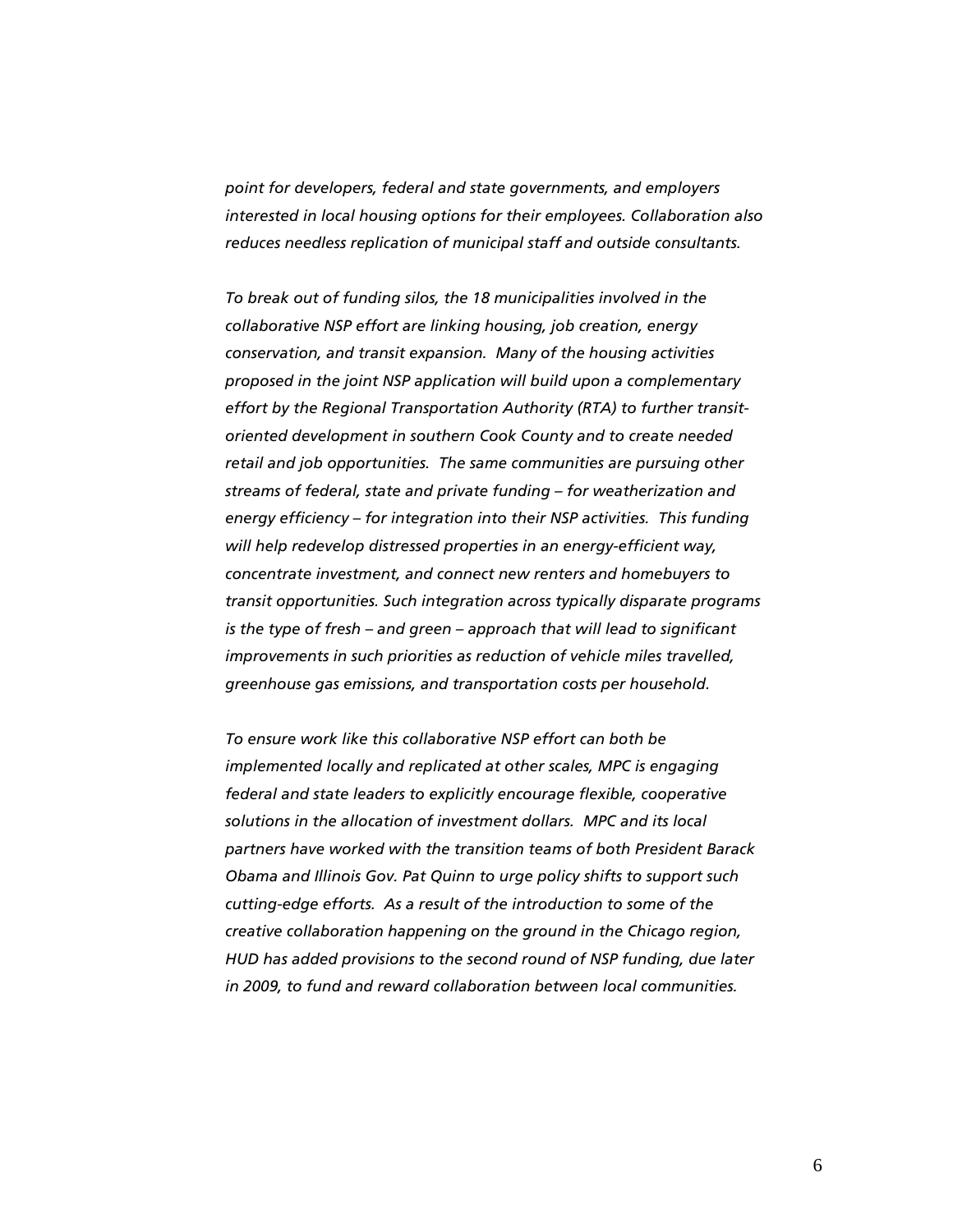*point for developers, federal and state governments, and employers interested in local housing options for their employees. Collaboration also reduces needless replication of municipal staff and outside consultants.* 

*To break out of funding silos, the 18 municipalities involved in the collaborative NSP effort are linking housing, job creation, energy conservation, and transit expansion. Many of the housing activities proposed in the joint NSP application will build upon a complementary effort by the Regional Transportation Authority (RTA) to further transitoriented development in southern Cook County and to create needed retail and job opportunities. The same communities are pursuing other streams of federal, state and private funding – for weatherization and energy efficiency – for integration into their NSP activities. This funding will help redevelop distressed properties in an energy-efficient way, concentrate investment, and connect new renters and homebuyers to transit opportunities. Such integration across typically disparate programs is the type of fresh – and green – approach that will lead to significant improvements in such priorities as reduction of vehicle miles travelled, greenhouse gas emissions, and transportation costs per household.* 

*To ensure work like this collaborative NSP effort can both be implemented locally and replicated at other scales, MPC is engaging federal and state leaders to explicitly encourage flexible, cooperative solutions in the allocation of investment dollars. MPC and its local partners have worked with the transition teams of both President Barack Obama and Illinois Gov. Pat Quinn to urge policy shifts to support such cutting-edge efforts. As a result of the introduction to some of the creative collaboration happening on the ground in the Chicago region, HUD has added provisions to the second round of NSP funding, due later in 2009, to fund and reward collaboration between local communities.*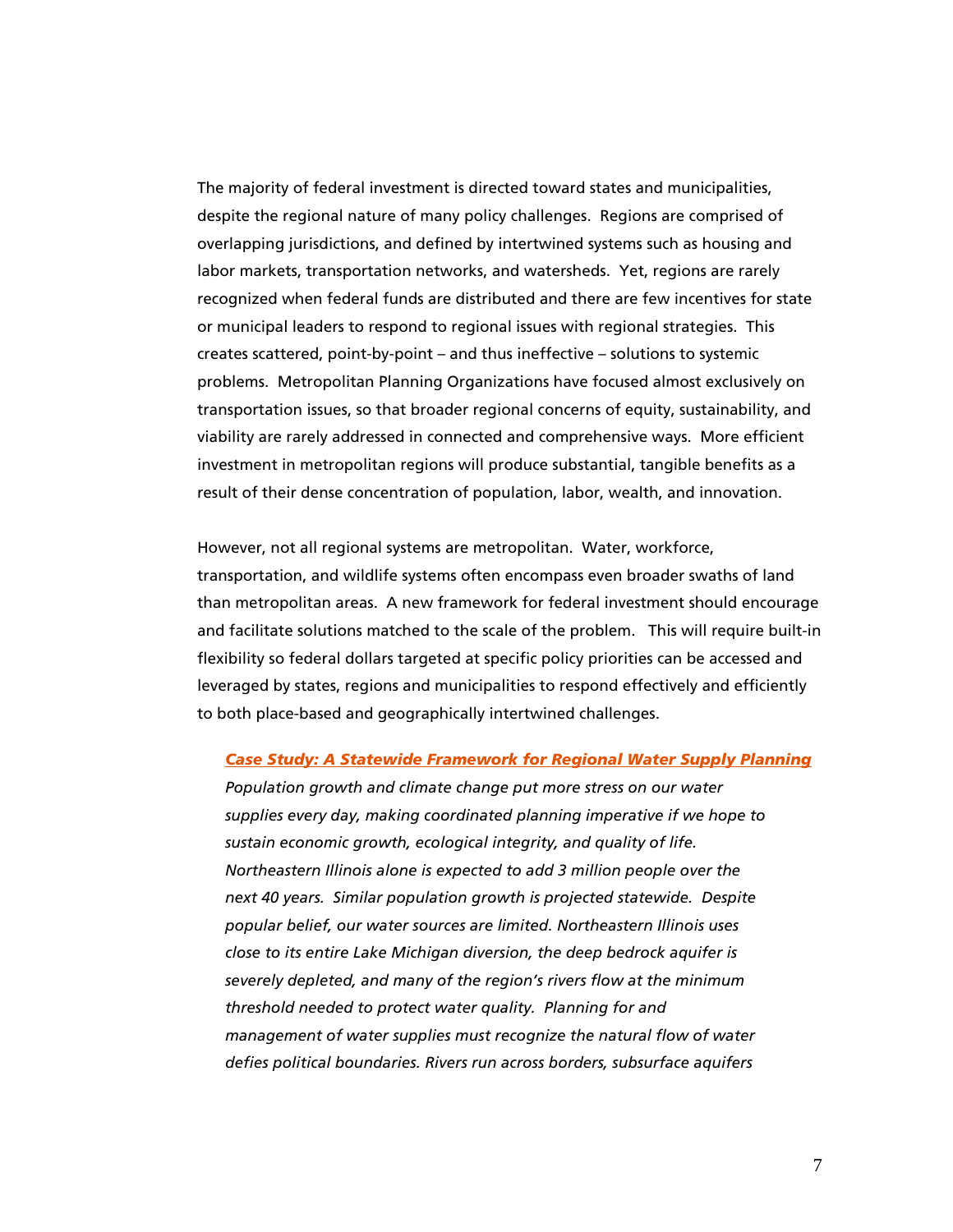The majority of federal investment is directed toward states and municipalities, despite the regional nature of many policy challenges. Regions are comprised of overlapping jurisdictions, and defined by intertwined systems such as housing and labor markets, transportation networks, and watersheds. Yet, regions are rarely recognized when federal funds are distributed and there are few incentives for state or municipal leaders to respond to regional issues with regional strategies. This creates scattered, point-by-point – and thus ineffective – solutions to systemic problems. Metropolitan Planning Organizations have focused almost exclusively on transportation issues, so that broader regional concerns of equity, sustainability, and viability are rarely addressed in connected and comprehensive ways. More efficient investment in metropolitan regions will produce substantial, tangible benefits as a result of their dense concentration of population, labor, wealth, and innovation.

However, not all regional systems are metropolitan. Water, workforce, transportation, and wildlife systems often encompass even broader swaths of land than metropolitan areas. A new framework for federal investment should encourage and facilitate solutions matched to the scale of the problem. This will require built-in flexibility so federal dollars targeted at specific policy priorities can be accessed and leveraged by states, regions and municipalities to respond effectively and efficiently to both place-based and geographically intertwined challenges.

#### *Case Study: A Statewide Framework for Regional Water Supply Planning*

*Population growth and climate change put more stress on our water supplies every day, making coordinated planning imperative if we hope to sustain economic growth, ecological integrity, and quality of life. Northeastern Illinois alone is expected to add 3 million people over the next 40 years. Similar population growth is projected statewide. Despite popular belief, our water sources are limited. Northeastern Illinois uses close to its entire Lake Michigan diversion, the deep bedrock aquifer is severely depleted, and many of the region's rivers flow at the minimum threshold needed to protect water quality. Planning for and management of water supplies must recognize the natural flow of water defies political boundaries. Rivers run across borders, subsurface aquifers*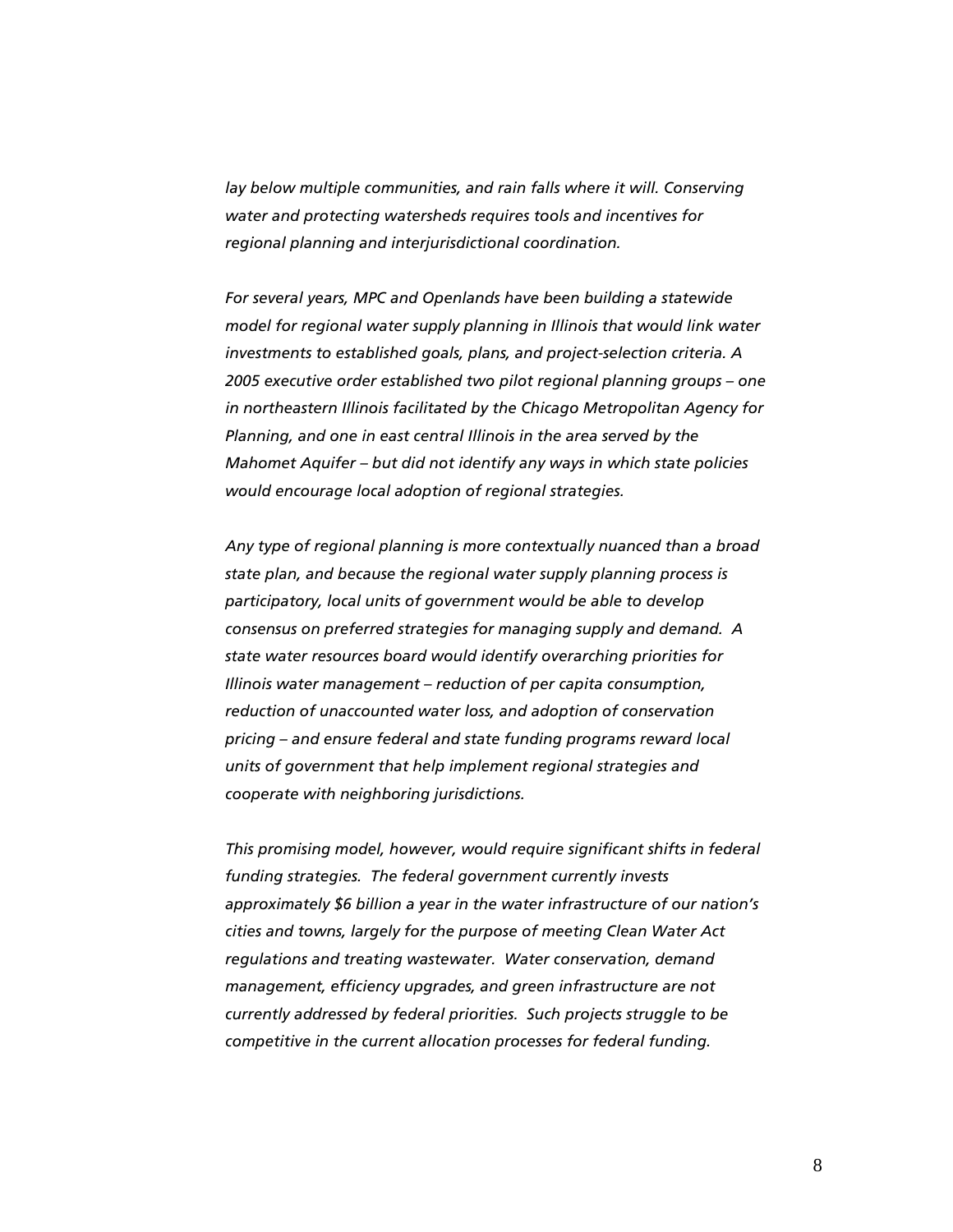lay below multiple communities, and rain falls where it will. Conserving *water and protecting watersheds requires tools and incentives for regional planning and interjurisdictional coordination.* 

*For several years, MPC and Openlands have been building a statewide model for regional water supply planning in Illinois that would link water investments to established goals, plans, and project-selection criteria. A 2005 executive order established two pilot regional planning groups – one in northeastern Illinois facilitated by the Chicago Metropolitan Agency for Planning, and one in east central Illinois in the area served by the Mahomet Aquifer – but did not identify any ways in which state policies would encourage local adoption of regional strategies.* 

*Any type of regional planning is more contextually nuanced than a broad state plan, and because the regional water supply planning process is participatory, local units of government would be able to develop consensus on preferred strategies for managing supply and demand. A state water resources board would identify overarching priorities for Illinois water management – reduction of per capita consumption, reduction of unaccounted water loss, and adoption of conservation pricing – and ensure federal and state funding programs reward local units of government that help implement regional strategies and cooperate with neighboring jurisdictions.* 

*This promising model, however, would require significant shifts in federal funding strategies. The federal government currently invests approximately \$6 billion a year in the water infrastructure of our nation's cities and towns, largely for the purpose of meeting Clean Water Act regulations and treating wastewater. Water conservation, demand management, efficiency upgrades, and green infrastructure are not currently addressed by federal priorities. Such projects struggle to be competitive in the current allocation processes for federal funding.*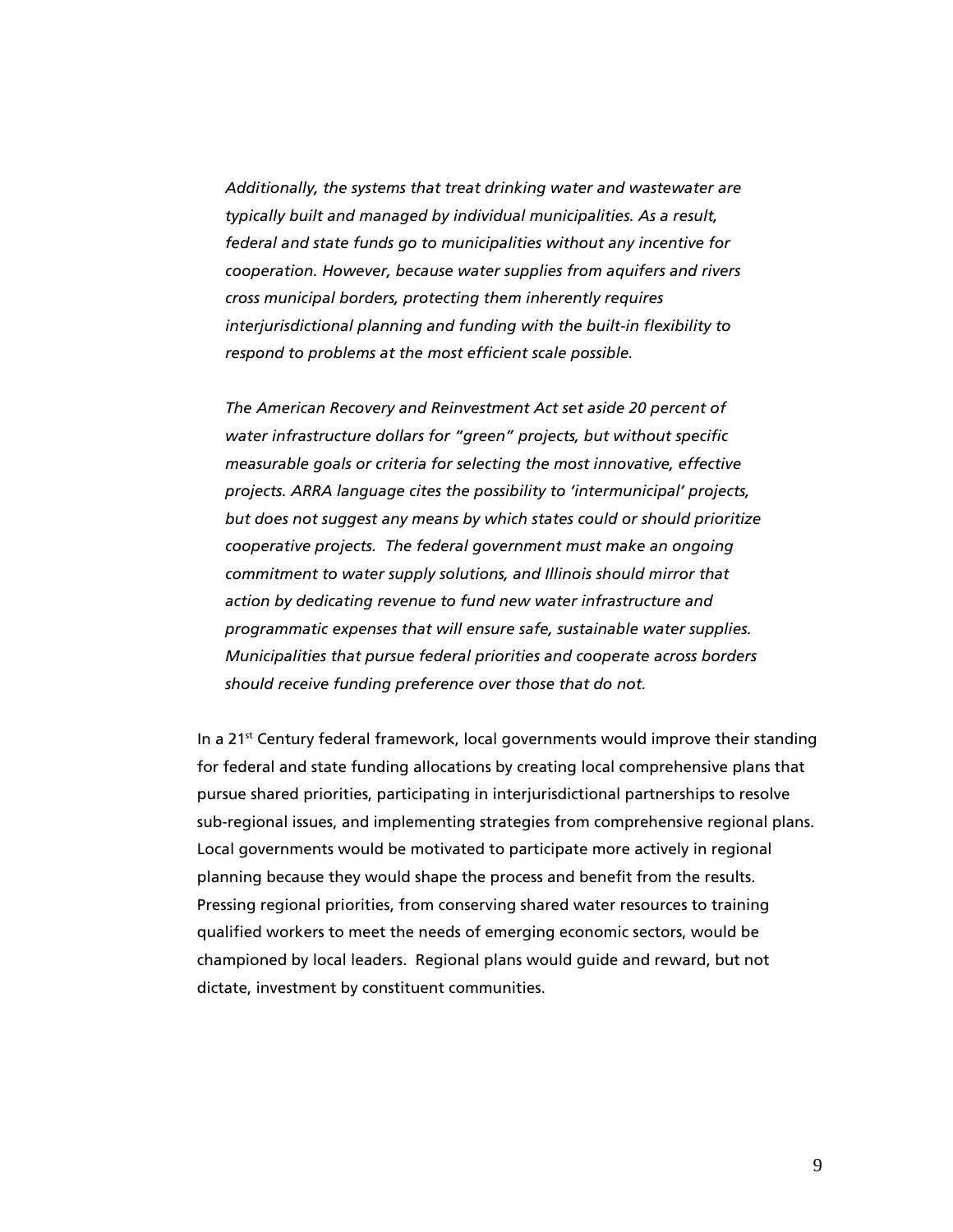*Additionally, the systems that treat drinking water and wastewater are typically built and managed by individual municipalities. As a result, federal and state funds go to municipalities without any incentive for cooperation. However, because water supplies from aquifers and rivers cross municipal borders, protecting them inherently requires interjurisdictional planning and funding with the built-in flexibility to respond to problems at the most efficient scale possible.* 

*The American Recovery and Reinvestment Act set aside 20 percent of water infrastructure dollars for "green" projects, but without specific measurable goals or criteria for selecting the most innovative, effective projects. ARRA language cites the possibility to 'intermunicipal' projects, but does not suggest any means by which states could or should prioritize cooperative projects. The federal government must make an ongoing commitment to water supply solutions, and Illinois should mirror that action by dedicating revenue to fund new water infrastructure and programmatic expenses that will ensure safe, sustainable water supplies. Municipalities that pursue federal priorities and cooperate across borders should receive funding preference over those that do not.* 

In a  $21<sup>st</sup>$  Century federal framework, local governments would improve their standing for federal and state funding allocations by creating local comprehensive plans that pursue shared priorities, participating in interjurisdictional partnerships to resolve sub-regional issues, and implementing strategies from comprehensive regional plans. Local governments would be motivated to participate more actively in regional planning because they would shape the process and benefit from the results. Pressing regional priorities, from conserving shared water resources to training qualified workers to meet the needs of emerging economic sectors, would be championed by local leaders. Regional plans would guide and reward, but not dictate, investment by constituent communities.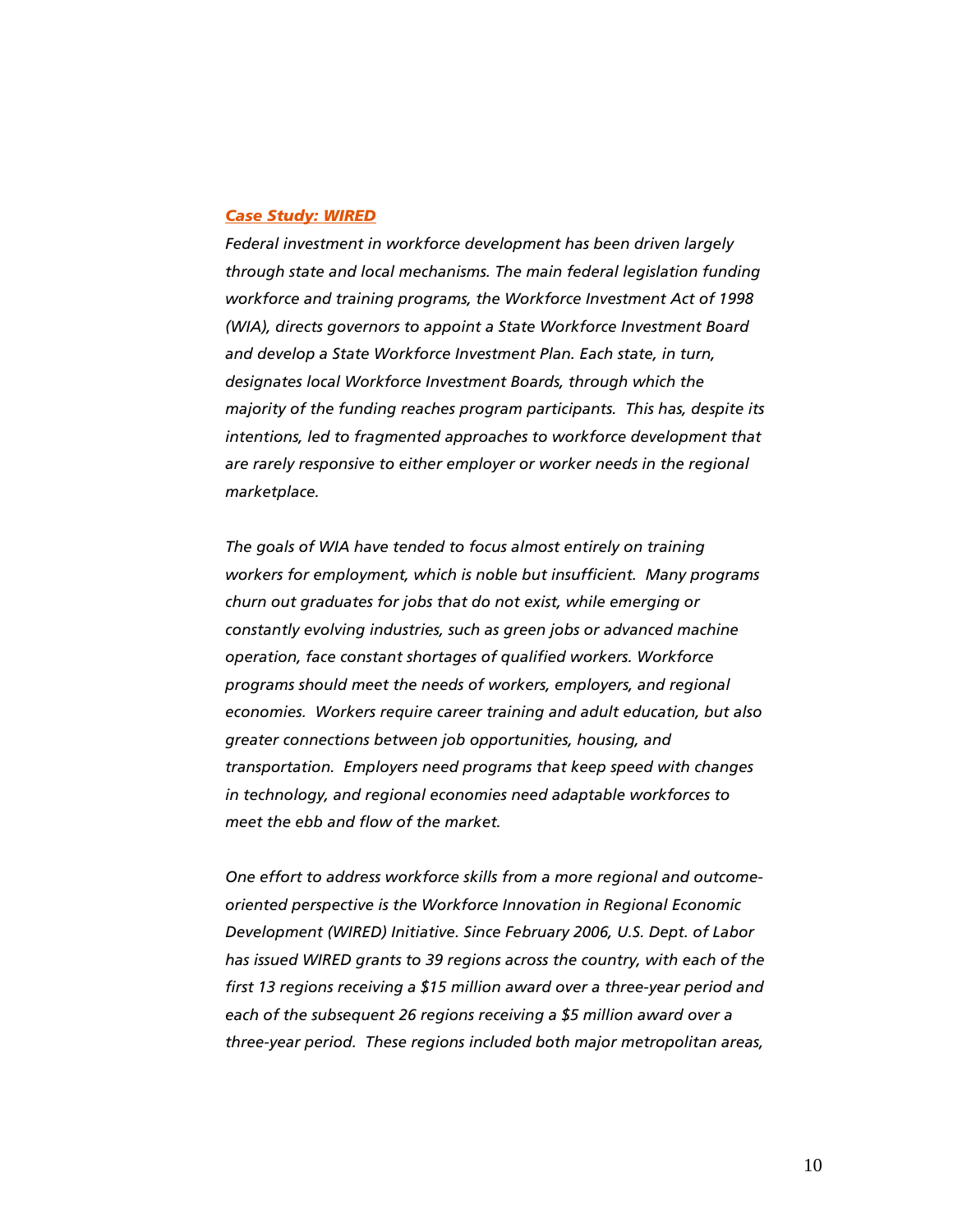#### *Case Study: WIRED*

*Federal investment in workforce development has been driven largely through state and local mechanisms. The main federal legislation funding workforce and training programs, the Workforce Investment Act of 1998 (WIA), directs governors to appoint a State Workforce Investment Board and develop a State Workforce Investment Plan. Each state, in turn, designates local Workforce Investment Boards, through which the majority of the funding reaches program participants. This has, despite its intentions, led to fragmented approaches to workforce development that are rarely responsive to either employer or worker needs in the regional marketplace.* 

*The goals of WIA have tended to focus almost entirely on training workers for employment, which is noble but insufficient. Many programs churn out graduates for jobs that do not exist, while emerging or constantly evolving industries, such as green jobs or advanced machine operation, face constant shortages of qualified workers. Workforce programs should meet the needs of workers, employers, and regional economies. Workers require career training and adult education, but also greater connections between job opportunities, housing, and transportation. Employers need programs that keep speed with changes in technology, and regional economies need adaptable workforces to meet the ebb and flow of the market.* 

*One effort to address workforce skills from a more regional and outcomeoriented perspective is the Workforce Innovation in Regional Economic Development (WIRED) Initiative. Since February 2006, U.S. Dept. of Labor has issued WIRED grants to 39 regions across the country, with each of the first 13 regions receiving a \$15 million award over a three-year period and each of the subsequent 26 regions receiving a \$5 million award over a three-year period. These regions included both major metropolitan areas,*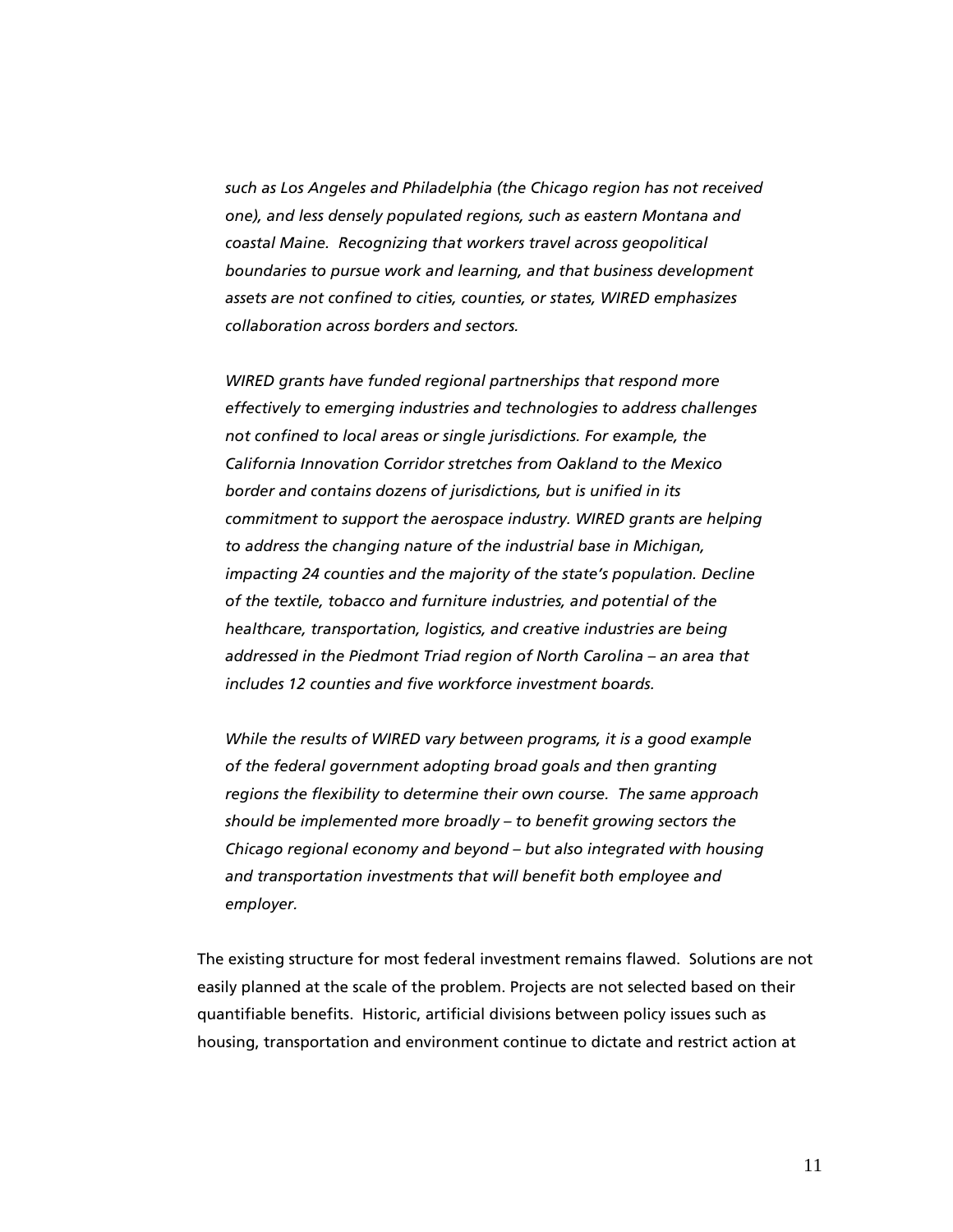*such as Los Angeles and Philadelphia (the Chicago region has not received one), and less densely populated regions, such as eastern Montana and coastal Maine. Recognizing that workers travel across geopolitical boundaries to pursue work and learning, and that business development assets are not confined to cities, counties, or states, WIRED emphasizes collaboration across borders and sectors.* 

*WIRED grants have funded regional partnerships that respond more effectively to emerging industries and technologies to address challenges not confined to local areas or single jurisdictions. For example, the California Innovation Corridor stretches from Oakland to the Mexico border and contains dozens of jurisdictions, but is unified in its commitment to support the aerospace industry. WIRED grants are helping to address the changing nature of the industrial base in Michigan, impacting 24 counties and the majority of the state's population. Decline of the textile, tobacco and furniture industries, and potential of the healthcare, transportation, logistics, and creative industries are being addressed in the Piedmont Triad region of North Carolina – an area that includes 12 counties and five workforce investment boards.* 

*While the results of WIRED vary between programs, it is a good example of the federal government adopting broad goals and then granting regions the flexibility to determine their own course. The same approach should be implemented more broadly – to benefit growing sectors the Chicago regional economy and beyond – but also integrated with housing and transportation investments that will benefit both employee and employer.* 

The existing structure for most federal investment remains flawed. Solutions are not easily planned at the scale of the problem. Projects are not selected based on their quantifiable benefits. Historic, artificial divisions between policy issues such as housing, transportation and environment continue to dictate and restrict action at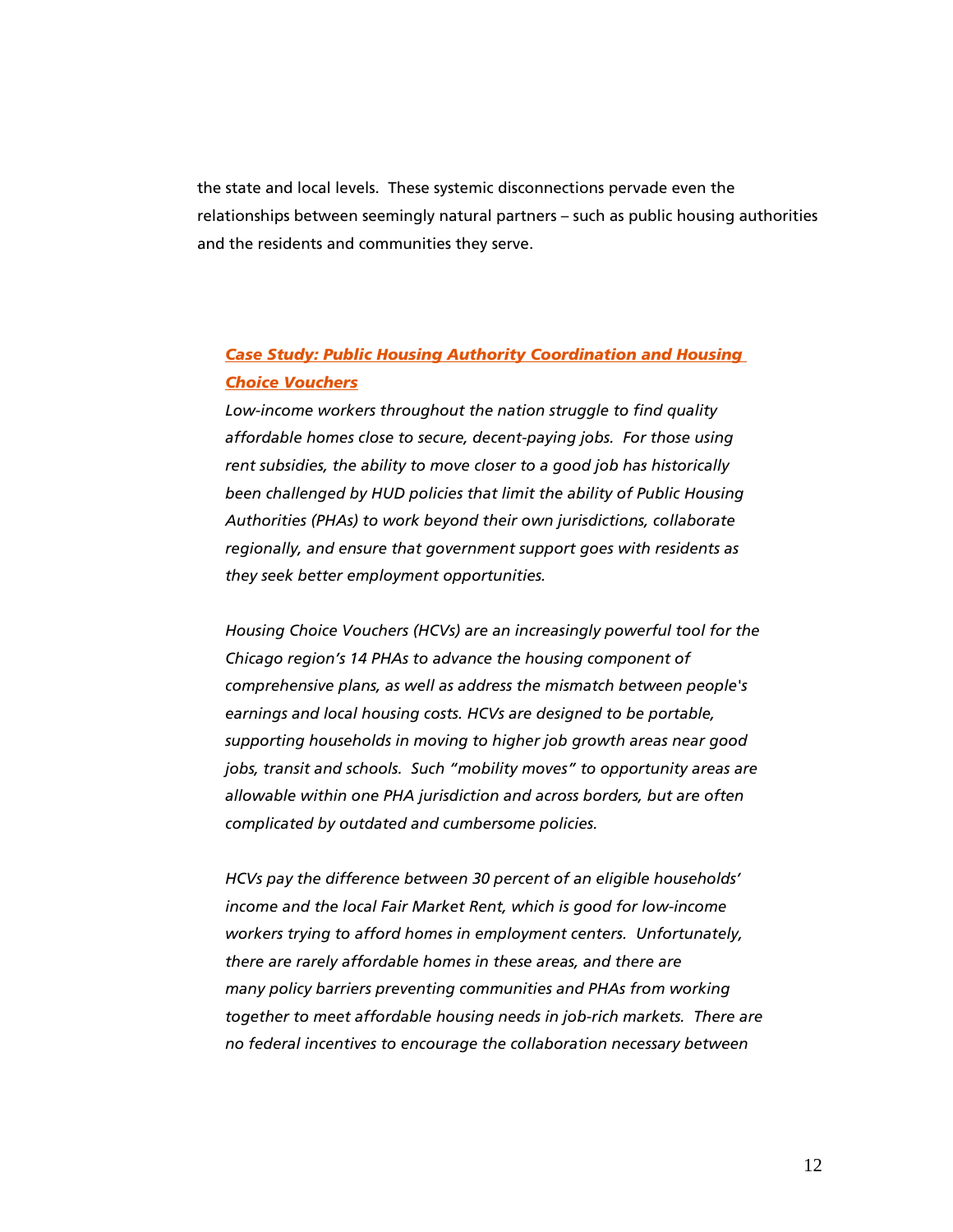the state and local levels. These systemic disconnections pervade even the relationships between seemingly natural partners – such as public housing authorities and the residents and communities they serve.

# *Case Study: Public Housing Authority Coordination and Housing Choice Vouchers*

*Low-income workers throughout the nation struggle to find quality affordable homes close to secure, decent-paying jobs. For those using rent subsidies, the ability to move closer to a good job has historically been challenged by HUD policies that limit the ability of Public Housing Authorities (PHAs) to work beyond their own jurisdictions, collaborate regionally, and ensure that government support goes with residents as they seek better employment opportunities.* 

*Housing Choice Vouchers (HCVs) are an increasingly powerful tool for the Chicago region's 14 PHAs to advance the housing component of comprehensive plans, as well as address the mismatch between people's earnings and local housing costs. HCVs are designed to be portable, supporting households in moving to higher job growth areas near good jobs, transit and schools. Such "mobility moves" to opportunity areas are allowable within one PHA jurisdiction and across borders, but are often complicated by outdated and cumbersome policies.* 

*HCVs pay the difference between 30 percent of an eligible households' income and the local Fair Market Rent, which is good for low-income workers trying to afford homes in employment centers. Unfortunately, there are rarely affordable homes in these areas, and there are many policy barriers preventing communities and PHAs from working together to meet affordable housing needs in job-rich markets. There are no federal incentives to encourage the collaboration necessary between*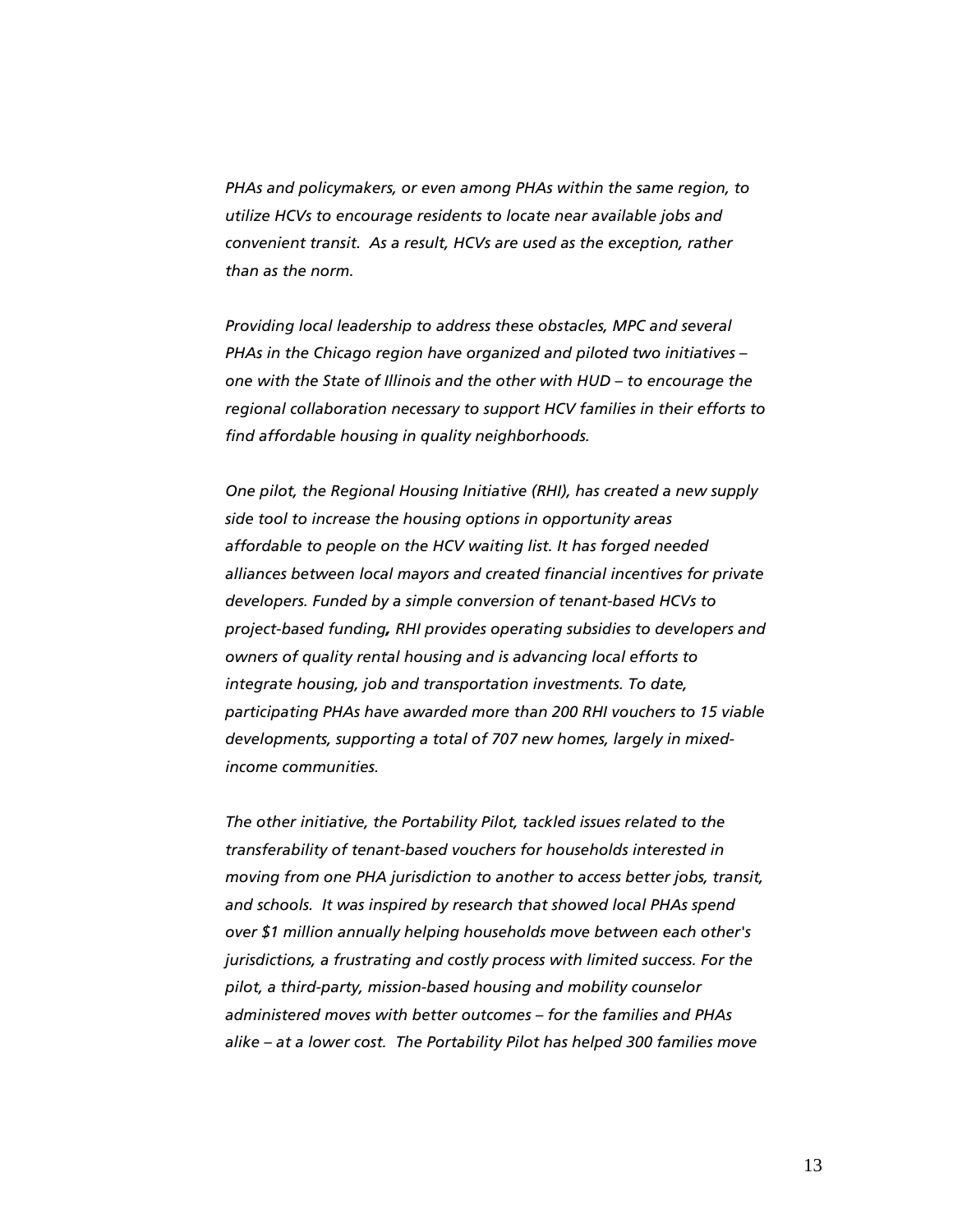*PHAs and policymakers, or even among PHAs within the same region, to utilize HCVs to encourage residents to locate near available jobs and convenient transit. As a result, HCVs are used as the exception, rather than as the norm.* 

*Providing local leadership to address these obstacles, MPC and several PHAs in the Chicago region have organized and piloted two initiatives* – *one with the State of Illinois and the other with HUD* – *to encourage the regional collaboration necessary to support HCV families in their efforts to find affordable housing in quality neighborhoods.* 

*One pilot, the Regional Housing Initiative (RHI), has created a new supply side tool to increase the housing options in opportunity areas affordable to people on the HCV waiting list. It has forged needed alliances between local mayors and created financial incentives for private developers. Funded by a simple conversion of tenant-based HCVs to project-based funding, RHI provides operating subsidies to developers and owners of quality rental housing and is advancing local efforts to integrate housing, job and transportation investments. To date, participating PHAs have awarded more than 200 RHI vouchers to 15 viable developments, supporting a total of 707 new homes, largely in mixedincome communities.* 

*The other initiative, the Portability Pilot, tackled issues related to the transferability of tenant-based vouchers for households interested in moving from one PHA jurisdiction to another to access better jobs, transit, and schools. It was inspired by research that showed local PHAs spend over \$1 million annually helping households move between each other's jurisdictions, a frustrating and costly process with limited success. For the pilot, a third-party, mission-based housing and mobility counselor administered moves with better outcomes – for the families and PHAs alike – at a lower cost. The Portability Pilot has helped 300 families move*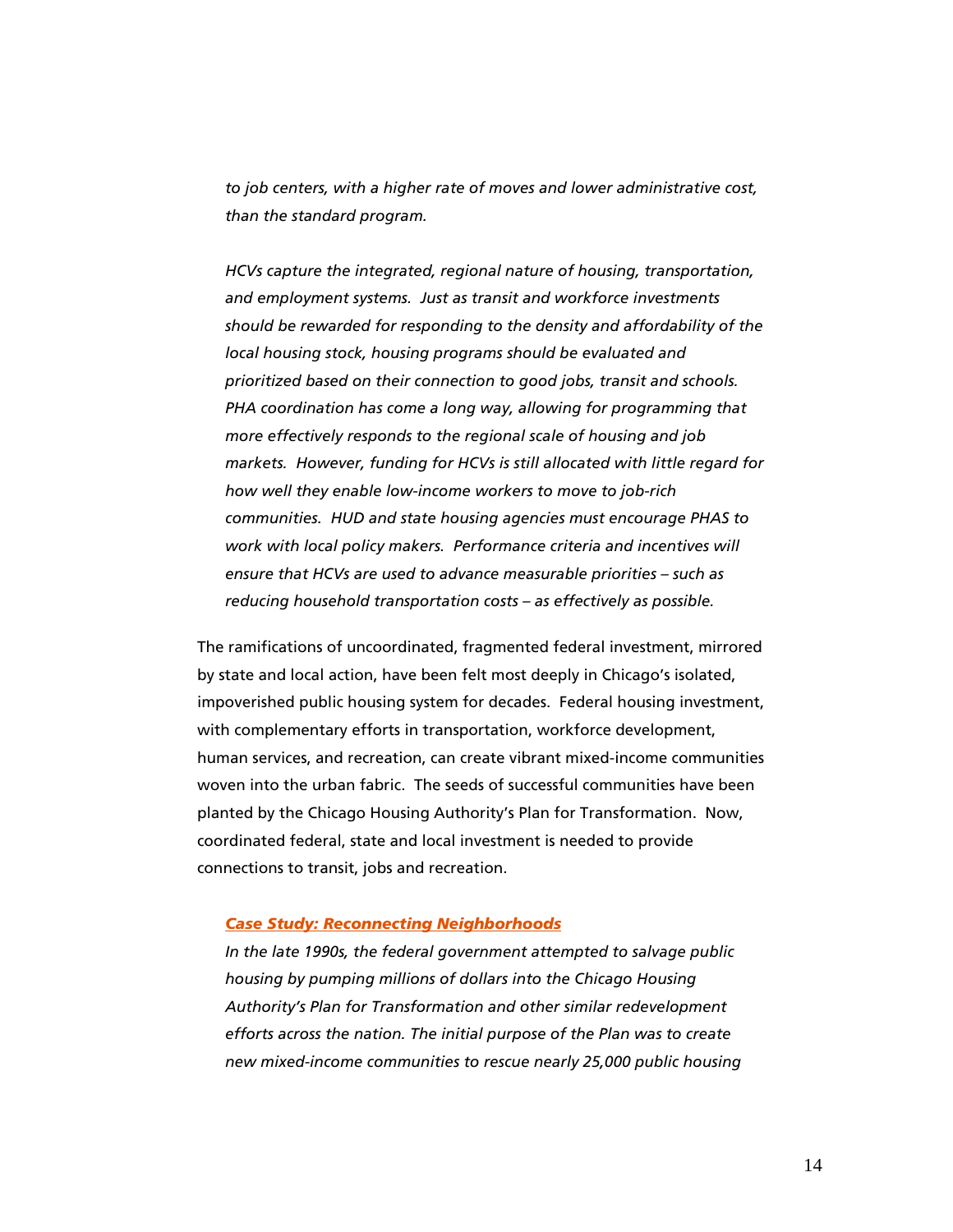*to job centers, with a higher rate of moves and lower administrative cost, than the standard program.* 

*HCVs capture the integrated, regional nature of housing, transportation, and employment systems. Just as transit and workforce investments should be rewarded for responding to the density and affordability of the local housing stock, housing programs should be evaluated and prioritized based on their connection to good jobs, transit and schools. PHA coordination has come a long way, allowing for programming that more effectively responds to the regional scale of housing and job markets. However, funding for HCVs is still allocated with little regard for how well they enable low-income workers to move to job-rich communities. HUD and state housing agencies must encourage PHAS to work with local policy makers. Performance criteria and incentives will ensure that HCVs are used to advance measurable priorities – such as reducing household transportation costs – as effectively as possible.* 

The ramifications of uncoordinated, fragmented federal investment, mirrored by state and local action, have been felt most deeply in Chicago's isolated, impoverished public housing system for decades. Federal housing investment, with complementary efforts in transportation, workforce development, human services, and recreation, can create vibrant mixed-income communities woven into the urban fabric. The seeds of successful communities have been planted by the Chicago Housing Authority's Plan for Transformation. Now, coordinated federal, state and local investment is needed to provide connections to transit, jobs and recreation.

#### *Case Study: Reconnecting Neighborhoods*

*In the late 1990s, the federal government attempted to salvage public housing by pumping millions of dollars into the Chicago Housing Authority's Plan for Transformation and other similar redevelopment efforts across the nation. The initial purpose of the Plan was to create new mixed-income communities to rescue nearly 25,000 public housing*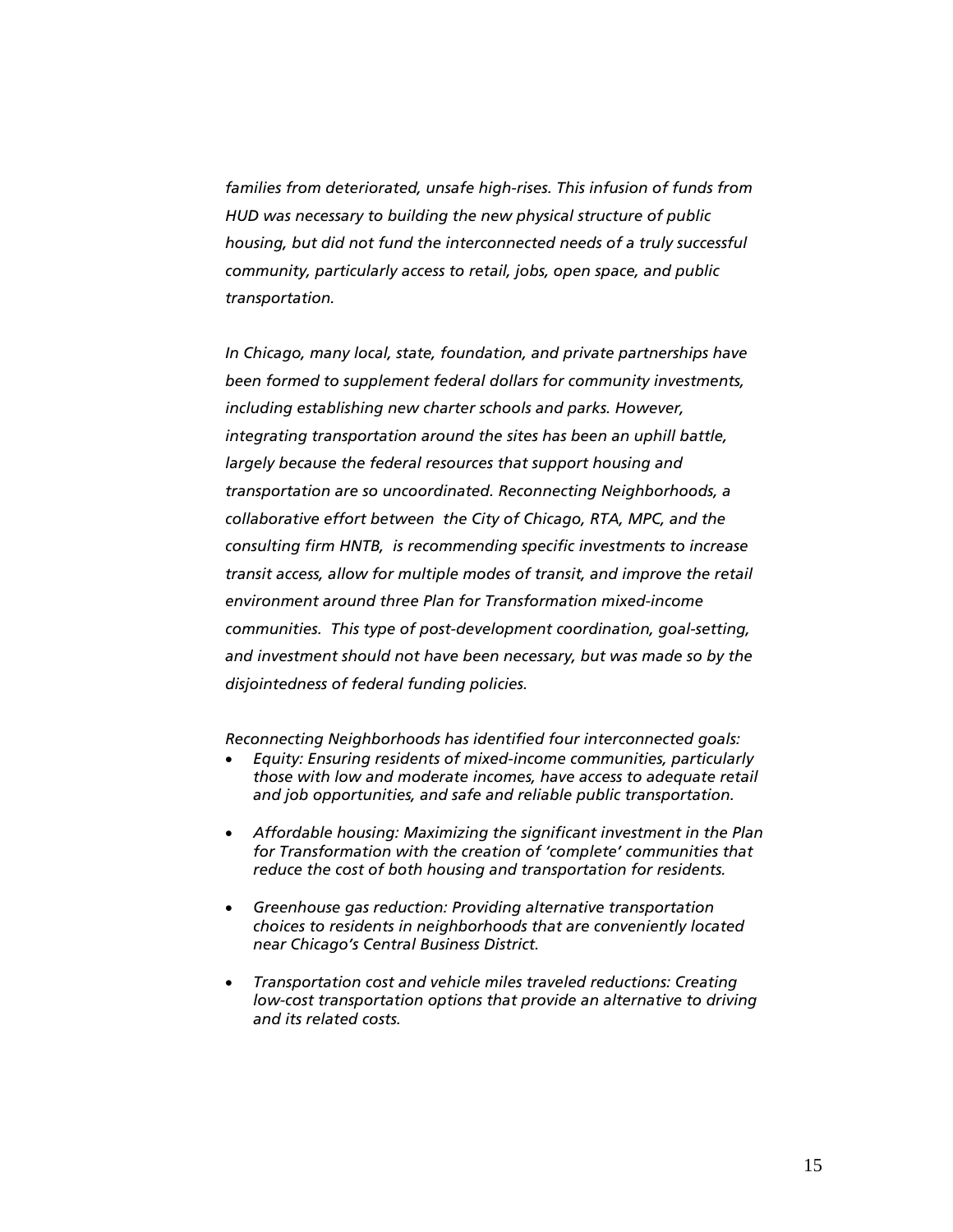*families from deteriorated, unsafe high-rises. This infusion of funds from HUD was necessary to building the new physical structure of public housing, but did not fund the interconnected needs of a truly successful community, particularly access to retail, jobs, open space, and public transportation.* 

*In Chicago, many local, state, foundation, and private partnerships have been formed to supplement federal dollars for community investments, including establishing new charter schools and parks. However, integrating transportation around the sites has been an uphill battle, largely because the federal resources that support housing and transportation are so uncoordinated. Reconnecting Neighborhoods, a collaborative effort between the City of Chicago, RTA, MPC, and the consulting firm HNTB, is recommending specific investments to increase transit access, allow for multiple modes of transit, and improve the retail environment around three Plan for Transformation mixed-income communities. This type of post-development coordination, goal-setting, and investment should not have been necessary, but was made so by the disjointedness of federal funding policies.* 

*Reconnecting Neighborhoods has identified four interconnected goals:* 

- *Equity: Ensuring residents of mixed-income communities, particularly those with low and moderate incomes, have access to adequate retail and job opportunities, and safe and reliable public transportation.*
- *Affordable housing: Maximizing the significant investment in the Plan for Transformation with the creation of 'complete' communities that reduce the cost of both housing and transportation for residents.*
- *Greenhouse gas reduction: Providing alternative transportation choices to residents in neighborhoods that are conveniently located near Chicago's Central Business District.*
- *Transportation cost and vehicle miles traveled reductions: Creating low-cost transportation options that provide an alternative to driving and its related costs.*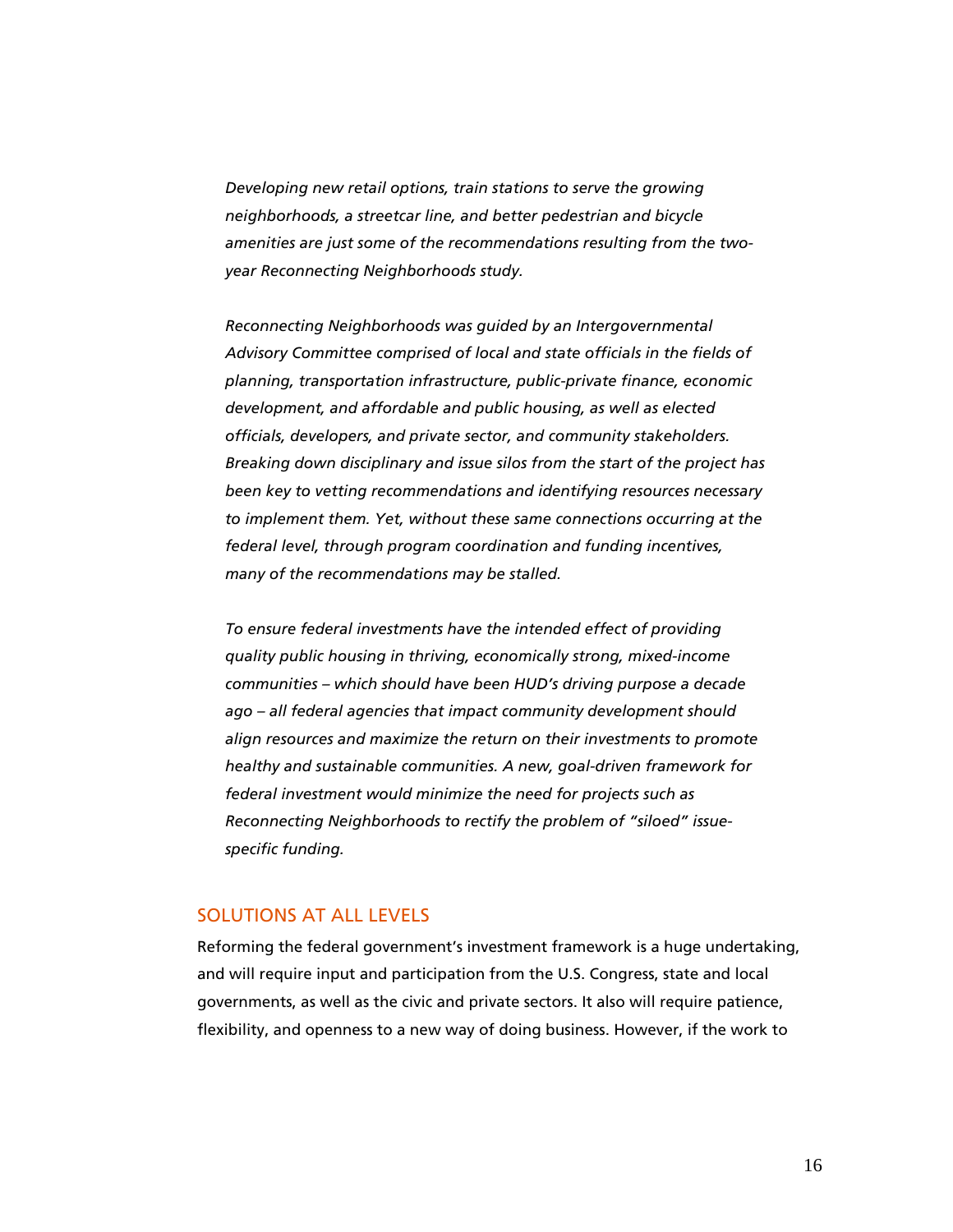*Developing new retail options, train stations to serve the growing neighborhoods, a streetcar line, and better pedestrian and bicycle amenities are just some of the recommendations resulting from the twoyear Reconnecting Neighborhoods study.* 

*Reconnecting Neighborhoods was guided by an Intergovernmental Advisory Committee comprised of local and state officials in the fields of planning, transportation infrastructure, public-private finance, economic development, and affordable and public housing, as well as elected officials, developers, and private sector, and community stakeholders. Breaking down disciplinary and issue silos from the start of the project has been key to vetting recommendations and identifying resources necessary to implement them. Yet, without these same connections occurring at the federal level, through program coordination and funding incentives, many of the recommendations may be stalled.* 

*To ensure federal investments have the intended effect of providing quality public housing in thriving, economically strong, mixed-income communities – which should have been HUD's driving purpose a decade ago – all federal agencies that impact community development should align resources and maximize the return on their investments to promote healthy and sustainable communities. A new, goal-driven framework for federal investment would minimize the need for projects such as Reconnecting Neighborhoods to rectify the problem of "siloed" issuespecific funding.* 

# SOLUTIONS AT ALL LEVELS

Reforming the federal government's investment framework is a huge undertaking, and will require input and participation from the U.S. Congress, state and local governments, as well as the civic and private sectors. It also will require patience, flexibility, and openness to a new way of doing business. However, if the work to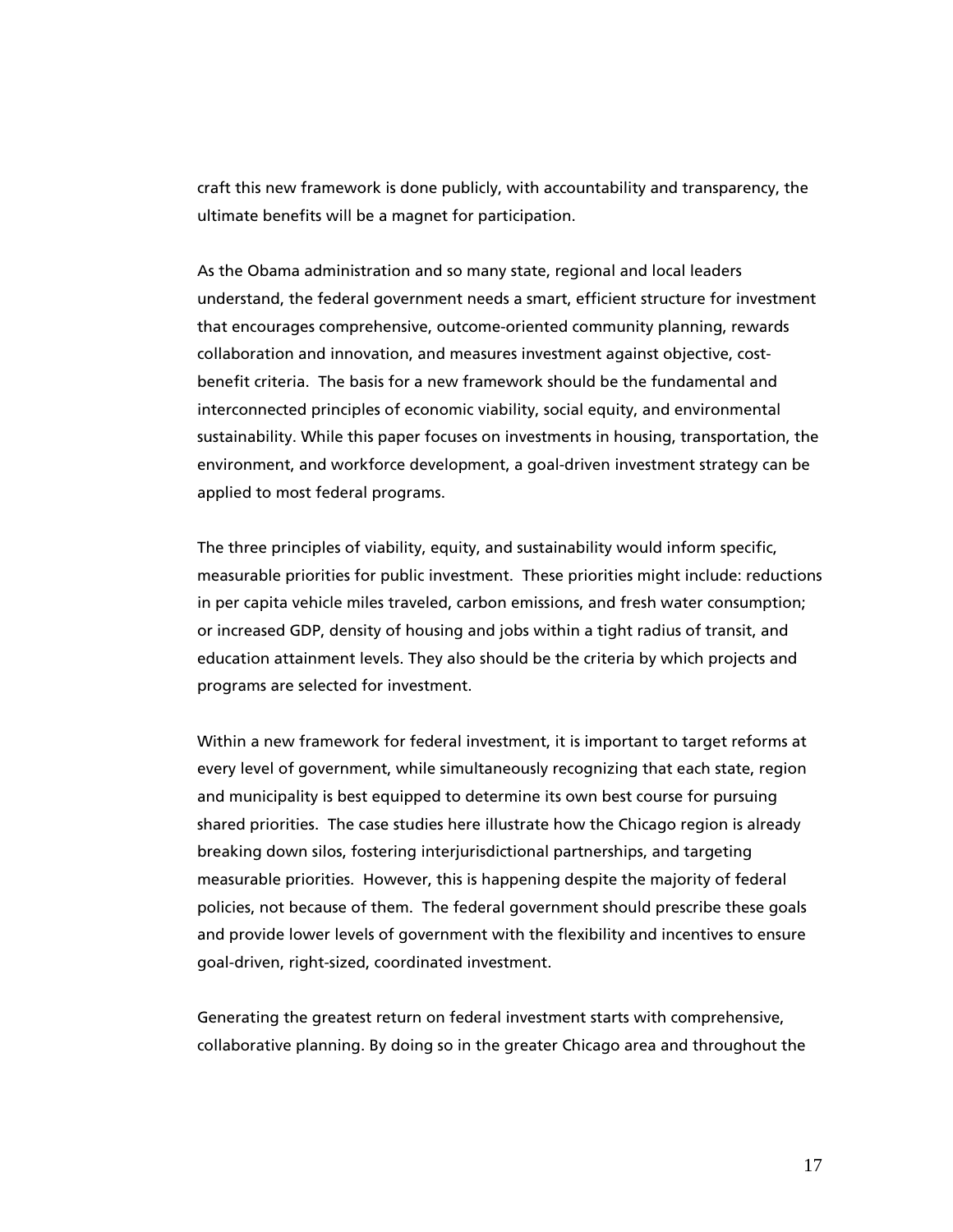craft this new framework is done publicly, with accountability and transparency, the ultimate benefits will be a magnet for participation.

As the Obama administration and so many state, regional and local leaders understand, the federal government needs a smart, efficient structure for investment that encourages comprehensive, outcome-oriented community planning, rewards collaboration and innovation, and measures investment against objective, costbenefit criteria. The basis for a new framework should be the fundamental and interconnected principles of economic viability, social equity, and environmental sustainability. While this paper focuses on investments in housing, transportation, the environment, and workforce development, a goal-driven investment strategy can be applied to most federal programs.

The three principles of viability, equity, and sustainability would inform specific, measurable priorities for public investment. These priorities might include: reductions in per capita vehicle miles traveled, carbon emissions, and fresh water consumption; or increased GDP, density of housing and jobs within a tight radius of transit, and education attainment levels. They also should be the criteria by which projects and programs are selected for investment.

Within a new framework for federal investment, it is important to target reforms at every level of government, while simultaneously recognizing that each state, region and municipality is best equipped to determine its own best course for pursuing shared priorities. The case studies here illustrate how the Chicago region is already breaking down silos, fostering interjurisdictional partnerships, and targeting measurable priorities. However, this is happening despite the majority of federal policies, not because of them. The federal government should prescribe these goals and provide lower levels of government with the flexibility and incentives to ensure goal-driven, right-sized, coordinated investment.

Generating the greatest return on federal investment starts with comprehensive, collaborative planning. By doing so in the greater Chicago area and throughout the